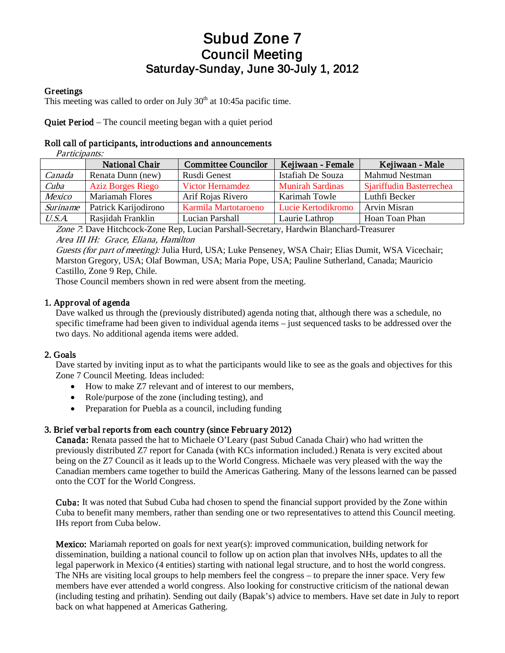# Subud Zone 7 Council Meeting Saturday-Sunday, June 30-July 1, 2012

#### **Greetings**

This meeting was called to order on July  $30<sup>th</sup>$  at 10:45a pacific time.

Quiet Period – The council meeting began with a quiet period

#### Roll call of participants, introductions and announcements

Participants: National Chair Committee Councilor | Kejiwaan - Female | Kejiwaan - Male Canada Renata Dunn (new) Rusdi Genest Istafiah De Souza Mahmud Nestman Cuba Aziz Borges Riego Victor Hernamdez Munirah Sardinas Sjariffudin Basterrechea Mexico Mariamah Flores Arif Rojas Rivero Karimah Towle Luthfi Becker Suriname | Patrick Karijodirono | Karmila Martotaroeno | Lucie Kertodikromo | Arvin Misran U.S.A. Rasjidah Franklin Lucian Parshall Laurie Lathrop Hoan Toan Phan

Zone 7: Dave Hitchcock-Zone Rep, Lucian Parshall-Secretary, Hardwin Blanchard-Treasurer Area III IH: Grace, Eliana, Hamilton

Guests (for part of meeting): Julia Hurd, USA; Luke Penseney, WSA Chair; Elias Dumit, WSA Vicechair; Marston Gregory, USA; Olaf Bowman, USA; Maria Pope, USA; Pauline Sutherland, Canada; Mauricio Castillo, Zone 9 Rep, Chile.

Those Council members shown in red were absent from the meeting.

#### 1. Approval of agenda

Dave walked us through the (previously distributed) agenda noting that, although there was a schedule, no specific timeframe had been given to individual agenda items – just sequenced tasks to be addressed over the two days. No additional agenda items were added.

#### 2. Goals

Dave started by inviting input as to what the participants would like to see as the goals and objectives for this Zone 7 Council Meeting. Ideas included:

- How to make Z7 relevant and of interest to our members,
- Role/purpose of the zone (including testing), and
- Preparation for Puebla as a council, including funding

#### 3. Brief verbal reports from each country (since February 2012)

Canada: Renata passed the hat to Michaele O'Leary (past Subud Canada Chair) who had written the previously distributed Z7 report for Canada (with KCs information included.) Renata is very excited about being on the Z7 Council as it leads up to the World Congress. Michaele was very pleased with the way the Canadian members came together to build the Americas Gathering. Many of the lessons learned can be passed onto the COT for the World Congress.

Cuba: It was noted that Subud Cuba had chosen to spend the financial support provided by the Zone within Cuba to benefit many members, rather than sending one or two representatives to attend this Council meeting. IHs report from Cuba below.

Mexico: Mariamah reported on goals for next year(s): improved communication, building network for dissemination, building a national council to follow up on action plan that involves NHs, updates to all the legal paperwork in Mexico (4 entities) starting with national legal structure, and to host the world congress. The NHs are visiting local groups to help members feel the congress – to prepare the inner space. Very few members have ever attended a world congress. Also looking for constructive criticism of the national dewan (including testing and prihatin). Sending out daily (Bapak's) advice to members. Have set date in July to report back on what happened at Americas Gathering.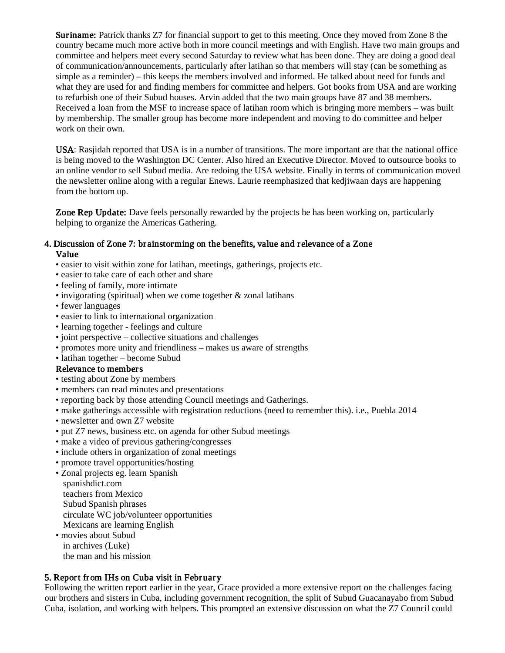**Suriname:** Patrick thanks Z7 for financial support to get to this meeting. Once they moved from Zone 8 the country became much more active both in more council meetings and with English. Have two main groups and committee and helpers meet every second Saturday to review what has been done. They are doing a good deal of communication/announcements, particularly after latihan so that members will stay (can be something as simple as a reminder) – this keeps the members involved and informed. He talked about need for funds and what they are used for and finding members for committee and helpers. Got books from USA and are working to refurbish one of their Subud houses. Arvin added that the two main groups have 87 and 38 members. Received a loan from the MSF to increase space of latihan room which is bringing more members – was built by membership. The smaller group has become more independent and moving to do committee and helper work on their own.

USA: Rasjidah reported that USA is in a number of transitions. The more important are that the national office is being moved to the Washington DC Center. Also hired an Executive Director. Moved to outsource books to an online vendor to sell Subud media. Are redoing the USA website. Finally in terms of communication moved the newsletter online along with a regular Enews. Laurie reemphasized that kedjiwaan days are happening from the bottom up.

Zone Rep Update: Dave feels personally rewarded by the projects he has been working on, particularly helping to organize the Americas Gathering.

#### 4. Discussion of Zone 7: brainstorming on the benefits, value and relevance of a Zone Value

- easier to visit within zone for latihan, meetings, gatherings, projects etc.
- easier to take care of each other and share
- feeling of family, more intimate
- invigorating (spiritual) when we come together  $\&$  zonal latihans
- fewer languages
- easier to link to international organization
- learning together feelings and culture
- joint perspective collective situations and challenges
- promotes more unity and friendliness makes us aware of strengths
- latihan together become Subud

#### Relevance to members

- testing about Zone by members
- members can read minutes and presentations
- reporting back by those attending Council meetings and Gatherings.
- make gatherings accessible with registration reductions (need to remember this). i.e., Puebla 2014
- newsletter and own Z7 website
- put Z7 news, business etc. on agenda for other Subud meetings
- make a video of previous gathering/congresses
- include others in organization of zonal meetings
- promote travel opportunities/hosting
- Zonal projects eg. learn Spanish spanishdict.com teachers from Mexico Subud Spanish phrases circulate WC job/volunteer opportunities Mexicans are learning English
- movies about Subud in archives (Luke) the man and his mission

#### 5. Report from IHs on Cuba visit in February

Following the written report earlier in the year, Grace provided a more extensive report on the challenges facing our brothers and sisters in Cuba, including government recognition, the split of Subud Guacanayabo from Subud Cuba, isolation, and working with helpers. This prompted an extensive discussion on what the Z7 Council could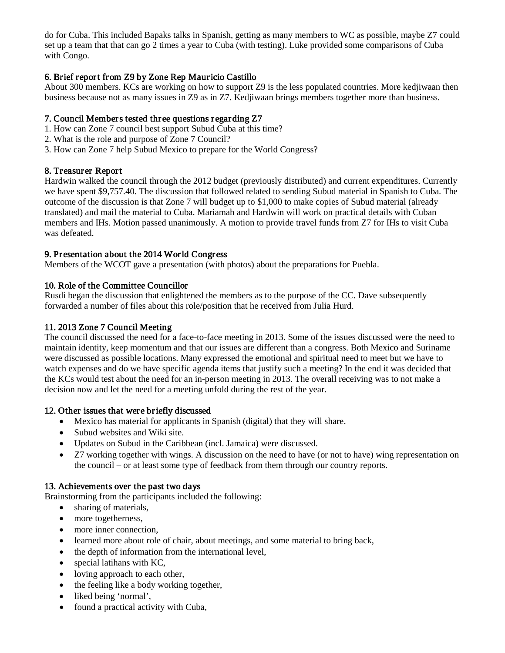do for Cuba. This included Bapaks talks in Spanish, getting as many members to WC as possible, maybe Z7 could set up a team that that can go 2 times a year to Cuba (with testing). Luke provided some comparisons of Cuba with Congo.

# 6. Brief report from Z9 by Zone Rep Mauricio Castillo

About 300 members. KCs are working on how to support Z9 is the less populated countries. More kedjiwaan then business because not as many issues in Z9 as in Z7. Kedjiwaan brings members together more than business.

### 7. Council Members tested three questions regarding Z7

- 1. How can Zone 7 council best support Subud Cuba at this time?
- 2. What is the role and purpose of Zone 7 Council?
- 3. How can Zone 7 help Subud Mexico to prepare for the World Congress?

# 8. Treasurer Report

Hardwin walked the council through the 2012 budget (previously distributed) and current expenditures. Currently we have spent \$9,757.40. The discussion that followed related to sending Subud material in Spanish to Cuba. The outcome of the discussion is that Zone 7 will budget up to \$1,000 to make copies of Subud material (already translated) and mail the material to Cuba. Mariamah and Hardwin will work on practical details with Cuban members and IHs. Motion passed unanimously. A motion to provide travel funds from Z7 for IHs to visit Cuba was defeated.

# 9. Presentation about the 2014 World Congress

Members of the WCOT gave a presentation (with photos) about the preparations for Puebla.

#### 10. Role of the Committee Councillor

Rusdi began the discussion that enlightened the members as to the purpose of the CC. Dave subsequently forwarded a number of files about this role/position that he received from Julia Hurd.

### 11. 2013 Zone 7 Council Meeting

The council discussed the need for a face-to-face meeting in 2013. Some of the issues discussed were the need to maintain identity, keep momentum and that our issues are different than a congress. Both Mexico and Suriname were discussed as possible locations. Many expressed the emotional and spiritual need to meet but we have to watch expenses and do we have specific agenda items that justify such a meeting? In the end it was decided that the KCs would test about the need for an in-person meeting in 2013. The overall receiving was to not make a decision now and let the need for a meeting unfold during the rest of the year.

#### 12. Other issues that were briefly discussed

- Mexico has material for applicants in Spanish (digital) that they will share.
- Subud websites and Wiki site.
- Updates on Subud in the Caribbean (incl. Jamaica) were discussed.
- Z7 working together with wings. A discussion on the need to have (or not to have) wing representation on the council – or at least some type of feedback from them through our country reports.

#### 13. Achievements over the past two days

Brainstorming from the participants included the following:

- sharing of materials,
- more togetherness,
- more inner connection,
- learned more about role of chair, about meetings, and some material to bring back,
- the depth of information from the international level,
- special latihans with KC,
- loving approach to each other,
- the feeling like a body working together,
- liked being 'normal',
- found a practical activity with Cuba,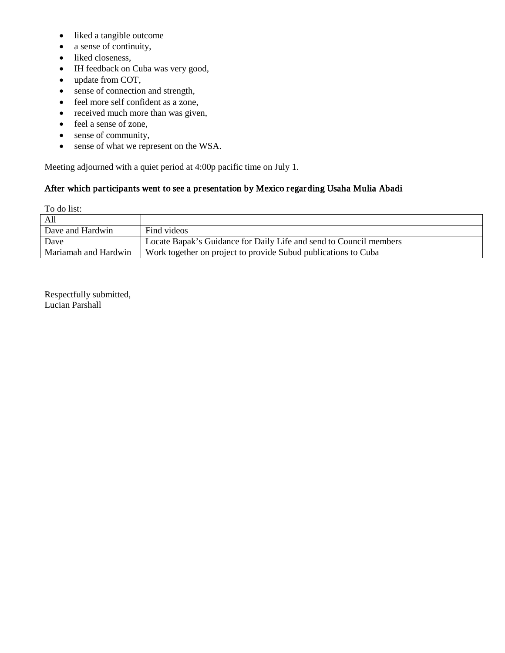- liked a tangible outcome
- a sense of continuity,
- liked closeness,
- IH feedback on Cuba was very good,
- update from COT,
- sense of connection and strength,
- feel more self confident as a zone,
- received much more than was given,
- feel a sense of zone,
- sense of community,
- sense of what we represent on the WSA.

Meeting adjourned with a quiet period at 4:00p pacific time on July 1.

#### After which participants went to see a presentation by Mexico regarding Usaha Mulia Abadi

To do list:

| All                  |                                                                    |
|----------------------|--------------------------------------------------------------------|
| Dave and Hardwin     | Find videos                                                        |
| Dave                 | Locate Bapak's Guidance for Daily Life and send to Council members |
| Mariamah and Hardwin | Work together on project to provide Subud publications to Cuba     |

Respectfully submitted, Lucian Parshall